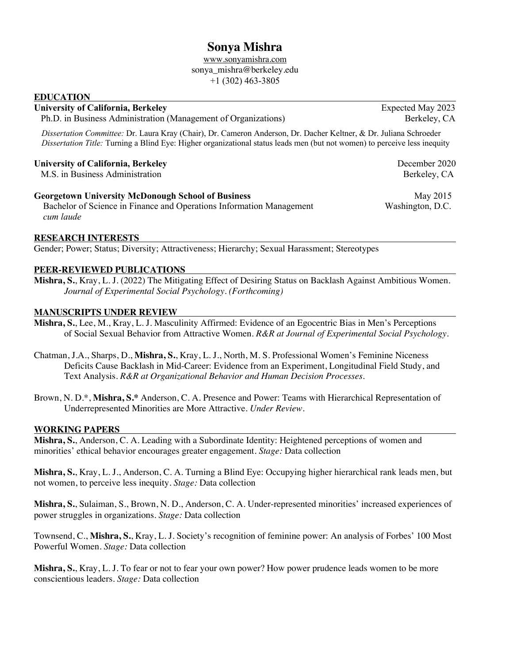# **Sonya Mishra**

www.sonyamishra.com sonya\_mishra@berkeley.edu  $+1$  (302) 463-3805

## **EDUCATION**

#### University of California, Berkeley **Expected May 2023**

Ph.D. in Business Administration (Management of Organizations) Berkeley, CA

*Dissertation Committee:* Dr. Laura Kray (Chair), Dr. Cameron Anderson, Dr. Dacher Keltner, & Dr. Juliana Schroeder *Dissertation Title:* Turning a Blind Eye: Higher organizational status leads men (but not women) to perceive less inequity

## **University of California, Berkeley**  December 2020

M.S. in Business Administration by the contract of the contract of the Berkeley, CA

**Georgetown University McDonough School of Business**  May 2015

 Bachelor of Science in Finance and Operations Information Management Washington, D.C. *cum laude*

## **RESEARCH INTERESTS**

Gender; Power; Status; Diversity; Attractiveness; Hierarchy; Sexual Harassment; Stereotypes

## **PEER-REVIEWED PUBLICATIONS**

**Mishra, S.**, Kray, L. J. (2022) The Mitigating Effect of Desiring Status on Backlash Against Ambitious Women. *Journal of Experimental Social Psychology. (Forthcoming)*

#### **MANUSCRIPTS UNDER REVIEW**

**Mishra, S.**, Lee, M., Kray, L. J. Masculinity Affirmed: Evidence of an Egocentric Bias in Men's Perceptions of Social Sexual Behavior from Attractive Women. *R&R at Journal of Experimental Social Psychology.*

- Chatman, J.A., Sharps, D., **Mishra, S.**, Kray, L. J., North, M. S. Professional Women's Feminine Niceness Deficits Cause Backlash in Mid-Career: Evidence from an Experiment, Longitudinal Field Study, and Text Analysis. *R&R at Organizational Behavior and Human Decision Processes*.
- Brown, N. D.\*, **Mishra, S.\*** Anderson, C. A. Presence and Power: Teams with Hierarchical Representation of Underrepresented Minorities are More Attractive. *Under Review.*

## **WORKING PAPERS**

**Mishra, S.**, Anderson, C. A. Leading with a Subordinate Identity: Heightened perceptions of women and minorities' ethical behavior encourages greater engagement. *Stage:* Data collection

**Mishra, S.**, Kray, L. J., Anderson, C. A. Turning a Blind Eye: Occupying higher hierarchical rank leads men, but not women, to perceive less inequity. *Stage:* Data collection

**Mishra, S.**, Sulaiman, S., Brown, N. D., Anderson, C. A. Under-represented minorities' increased experiences of power struggles in organizations. *Stage:* Data collection

Townsend, C., **Mishra, S.**, Kray, L. J. Society's recognition of feminine power: An analysis of Forbes' 100 Most Powerful Women. *Stage:* Data collection

**Mishra, S.**, Kray, L. J. To fear or not to fear your own power? How power prudence leads women to be more conscientious leaders. *Stage:* Data collection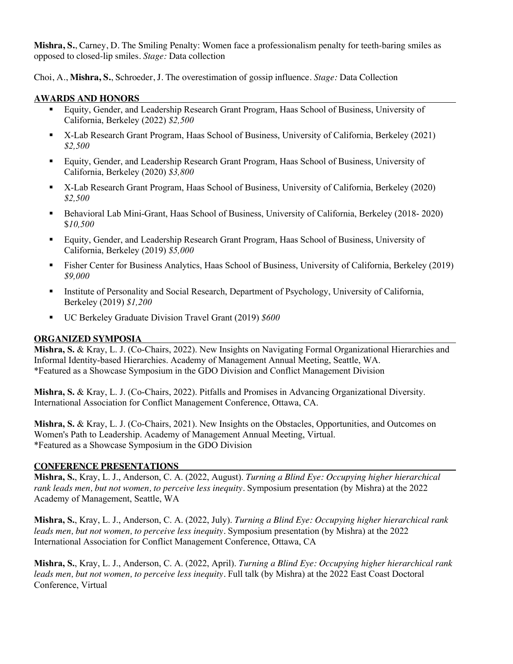**Mishra, S.**, Carney, D. The Smiling Penalty: Women face a professionalism penalty for teeth-baring smiles as opposed to closed-lip smiles. *Stage:* Data collection

Choi, A., **Mishra, S.**, Schroeder, J. The overestimation of gossip influence. *Stage:* Data Collection

## **AWARDS AND HONORS**

- § Equity, Gender, and Leadership Research Grant Program, Haas School of Business, University of California, Berkeley (2022) *\$2,500*
- X-Lab Research Grant Program, Haas School of Business, University of California, Berkeley (2021) *\$2,500*
- § Equity, Gender, and Leadership Research Grant Program, Haas School of Business, University of California, Berkeley (2020) *\$3,800*
- X-Lab Research Grant Program, Haas School of Business, University of California, Berkeley (2020) *\$2,500*
- Behavioral Lab Mini-Grant, Haas School of Business, University of California, Berkeley (2018- 2020) \$*10,500*
- § Equity, Gender, and Leadership Research Grant Program, Haas School of Business, University of California, Berkeley (2019) *\$5,000*
- Fisher Center for Business Analytics, Haas School of Business, University of California, Berkeley (2019) *\$9,000*
- Institute of Personality and Social Research, Department of Psychology, University of California, Berkeley (2019) *\$1,200*
- § UC Berkeley Graduate Division Travel Grant (2019) *\$600*

# **ORGANIZED SYMPOSIA**

**Mishra, S.** & Kray, L. J. (Co-Chairs, 2022). New Insights on Navigating Formal Organizational Hierarchies and Informal Identity-based Hierarchies. Academy of Management Annual Meeting, Seattle, WA. \*Featured as a Showcase Symposium in the GDO Division and Conflict Management Division

**Mishra, S.** & Kray, L. J. (Co-Chairs, 2022). Pitfalls and Promises in Advancing Organizational Diversity. International Association for Conflict Management Conference, Ottawa, CA.

**Mishra, S.** & Kray, L. J. (Co-Chairs, 2021). New Insights on the Obstacles, Opportunities, and Outcomes on Women's Path to Leadership. Academy of Management Annual Meeting, Virtual. \*Featured as a Showcase Symposium in the GDO Division

# **CONFERENCE PRESENTATIONS**

**Mishra, S.**, Kray, L. J., Anderson, C. A. (2022, August). *Turning a Blind Eye: Occupying higher hierarchical rank leads men, but not women, to perceive less inequity.* Symposium presentation (by Mishra) at the 2022 Academy of Management, Seattle, WA

**Mishra, S.**, Kray, L. J., Anderson, C. A. (2022, July). *Turning a Blind Eye: Occupying higher hierarchical rank leads men, but not women, to perceive less inequity.* Symposium presentation (by Mishra) at the 2022 International Association for Conflict Management Conference, Ottawa, CA

**Mishra, S.**, Kray, L. J., Anderson, C. A. (2022, April). *Turning a Blind Eye: Occupying higher hierarchical rank leads men, but not women, to perceive less inequity.* Full talk (by Mishra) at the 2022 East Coast Doctoral Conference, Virtual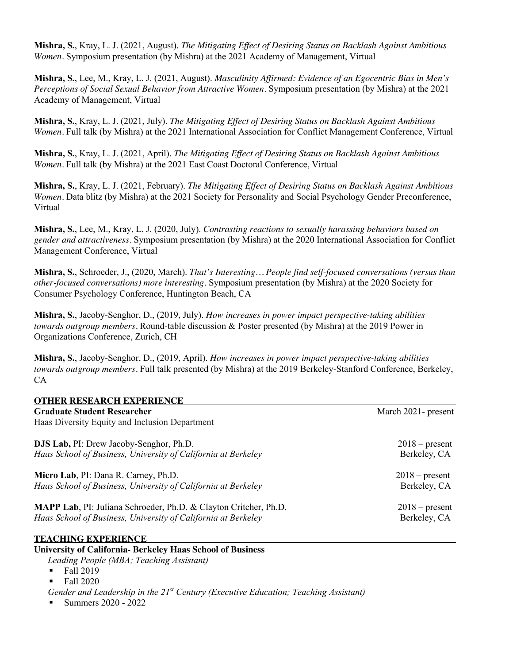**Mishra, S.**, Kray, L. J. (2021, August). *The Mitigating Effect of Desiring Status on Backlash Against Ambitious Women.* Symposium presentation (by Mishra) at the 2021 Academy of Management, Virtual

**Mishra, S.**, Lee, M., Kray, L. J. (2021, August). *Masculinity Affirmed: Evidence of an Egocentric Bias in Men's Perceptions of Social Sexual Behavior from Attractive Women.* Symposium presentation (by Mishra) at the 2021 Academy of Management, Virtual

**Mishra, S.**, Kray, L. J. (2021, July). *The Mitigating Effect of Desiring Status on Backlash Against Ambitious Women*. Full talk (by Mishra) at the 2021 International Association for Conflict Management Conference, Virtual

**Mishra, S.**, Kray, L. J. (2021, April). *The Mitigating Effect of Desiring Status on Backlash Against Ambitious Women*. Full talk (by Mishra) at the 2021 East Coast Doctoral Conference, Virtual

**Mishra, S.**, Kray, L. J. (2021, February). *The Mitigating Effect of Desiring Status on Backlash Against Ambitious Women.* Data blitz (by Mishra) at the 2021 Society for Personality and Social Psychology Gender Preconference, Virtual

**Mishra, S.**, Lee, M., Kray, L. J. (2020, July). *Contrasting reactions to sexually harassing behaviors based on gender and attractiveness.* Symposium presentation (by Mishra) at the 2020 International Association for Conflict Management Conference, Virtual

**Mishra, S.**, Schroeder, J., (2020, March). *That's Interesting… People find self-focused conversations (versus than other-focused conversations) more interesting.* Symposium presentation (by Mishra) at the 2020 Society for Consumer Psychology Conference, Huntington Beach, CA

**Mishra, S.**, Jacoby-Senghor, D., (2019, July). *How increases in power impact perspective-taking abilities towards outgroup members.* Round-table discussion & Poster presented (by Mishra) at the 2019 Power in Organizations Conference, Zurich, CH

**Mishra, S.**, Jacoby-Senghor, D., (2019, April). *How increases in power impact perspective-taking abilities towards outgroup members.* Full talk presented (by Mishra) at the 2019 Berkeley-Stanford Conference, Berkeley, CA

| <b>OTHER RESEARCH EXPERIENCE</b>                                         |                     |
|--------------------------------------------------------------------------|---------------------|
| <b>Graduate Student Researcher</b>                                       | March 2021- present |
| Haas Diversity Equity and Inclusion Department                           |                     |
| <b>DJS Lab, PI:</b> Drew Jacoby-Senghor, Ph.D.                           | $2018$ – present    |
| Haas School of Business, University of California at Berkeley            | Berkeley, CA        |
| Micro Lab, PI: Dana R. Carney, Ph.D.                                     | $2018$ – present    |
| Haas School of Business, University of California at Berkeley            | Berkeley, CA        |
| <b>MAPP Lab</b> , PI: Juliana Schroeder, Ph.D. & Clayton Critcher, Ph.D. | $2018$ – present    |
| Haas School of Business, University of California at Berkeley            | Berkeley, CA        |
| <b>TEACHING EXPERIENCE</b>                                               |                     |
| <b>University of California- Berkeley Haas School of Business</b>        |                     |
| Leading People (MBA; Teaching Assistant)                                 |                     |

- Fall 2019
- Fall 2020
- *Gender and Leadership in the 21st Century (Executive Education; Teaching Assistant)*
- § Summers 2020 2022